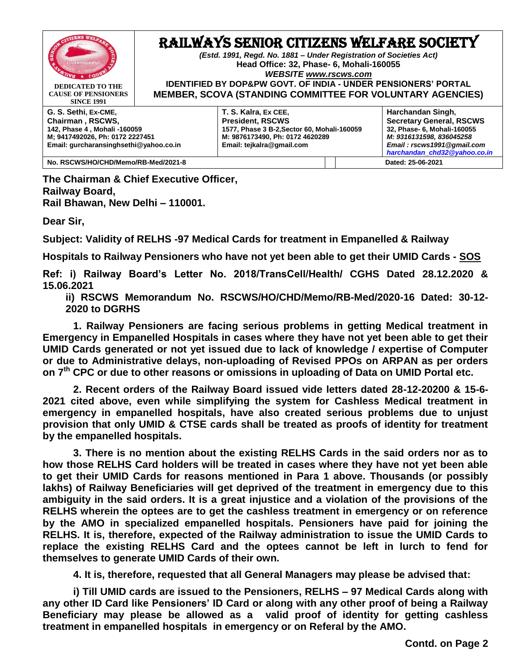

**CAUSE OF PENSIONERS SINCE 1991**

## RAILWAYS SENIOR CITIZENS WELFARE SOCIETY

*(Estd. 1991, Regd. No. 1881 – Under Registration of Societies Act)* **Head Office: 32, Phase- 6, Mohali-160055** *WEBSITE [www.rscws.com](http://www.rscws.com/)* **IDENTIFIED BY DOP&PW GOVT. OF INDIA - UNDER PENSIONERS' PORTAL** 

**MEMBER, SCOVA (STANDING COMMITTEE FOR VOLUNTARY AGENCIES)**

**G. S. Sethi, Ex-CME, Chairman , RSCWS, 142, Phase 4 , Mohali -160059 M; 9417492026, Ph: 0172 2227451 Email: gurcharansinghsethi@yahoo.co.in** **T. S. Kalra, Ex CEE, President, RSCWS 1577, Phase 3 B-2,Sector 60, Mohali-160059 M: 9876173490, Ph: 0172 4620289 Email: tejkalra@gmail.com**

**Harchandan Singh, Secretary General, RSCWS 32, Phase- 6, Mohali-160055** *M: 9316131598, 836045258 Email : rscws1991@gmail.com [harchandan\\_chd32@yahoo.co.in](mailto:harchandan_chd32@yahoo.co.in)*

**No. RSCWS/HO/CHD/Memo/RB-Med/2021-8 Dated: 25-06-2021**

**The Chairman & Chief Executive Officer, Railway Board, Rail Bhawan, New Delhi – 110001.**

**Dear Sir,**

**Subject: Validity of RELHS -97 Medical Cards for treatment in Empanelled & Railway** 

**Hospitals to Railway Pensioners who have not yet been able to get their UMID Cards - SOS**

**Ref: i) Railway Board's Letter No. 2018/TransCell/Health/ CGHS Dated 28.12.2020 & 15.06.2021**

**ii) RSCWS Memorandum No. RSCWS/HO/CHD/Memo/RB-Med/2020-16 Dated: 30-12- 2020 to DGRHS** 

**1. Railway Pensioners are facing serious problems in getting Medical treatment in Emergency in Empanelled Hospitals in cases where they have not yet been able to get their UMID Cards generated or not yet issued due to lack of knowledge / expertise of Computer or due to Administrative delays, non-uploading of Revised PPOs on ARPAN as per orders on 7th CPC or due to other reasons or omissions in uploading of Data on UMID Portal etc.** 

**2. Recent orders of the Railway Board issued vide letters dated 28-12-20200 & 15-6- 2021 cited above, even while simplifying the system for Cashless Medical treatment in emergency in empanelled hospitals, have also created serious problems due to unjust provision that only UMID & CTSE cards shall be treated as proofs of identity for treatment by the empanelled hospitals.** 

**3. There is no mention about the existing RELHS Cards in the said orders nor as to how those RELHS Card holders will be treated in cases where they have not yet been able to get their UMID Cards for reasons mentioned in Para 1 above. Thousands (or possibly lakhs) of Railway Beneficiaries will get deprived of the treatment in emergency due to this ambiguity in the said orders. It is a great injustice and a violation of the provisions of the RELHS wherein the optees are to get the cashless treatment in emergency or on reference by the AMO in specialized empanelled hospitals. Pensioners have paid for joining the RELHS. It is, therefore, expected of the Railway administration to issue the UMID Cards to replace the existing RELHS Card and the optees cannot be left in lurch to fend for themselves to generate UMID Cards of their own.**

**4. It is, therefore, requested that all General Managers may please be advised that:**

**i) Till UMID cards are issued to the Pensioners, RELHS – 97 Medical Cards along with any other ID Card like Pensioners' ID Card or along with any other proof of being a Railway Beneficiary may please be allowed as a valid proof of identity for getting cashless treatment in empanelled hospitals in emergency or on Referal by the AMO.**